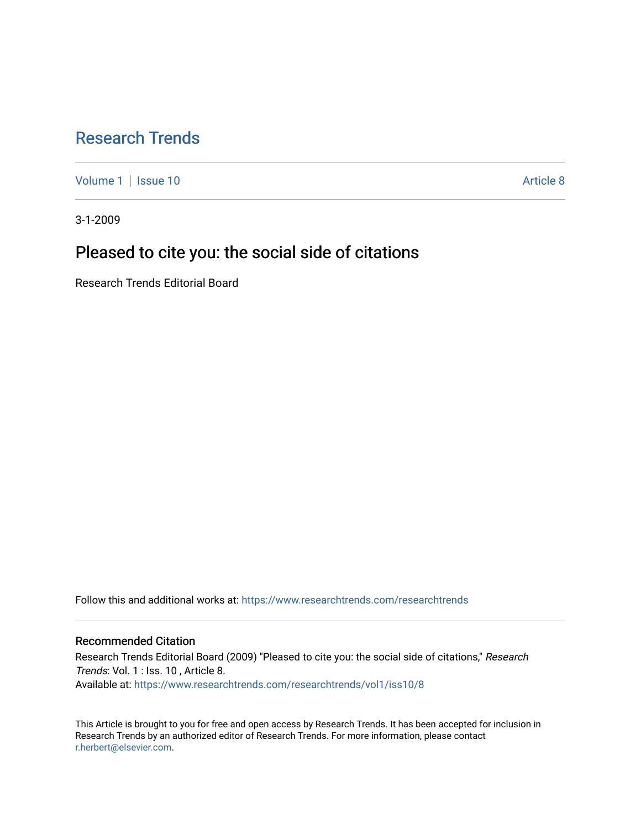# [Research Trends](https://www.researchtrends.com/researchtrends)

[Volume 1](https://www.researchtrends.com/researchtrends/vol1) | [Issue 10](https://www.researchtrends.com/researchtrends/vol1/iss10) Article 8

3-1-2009

## Pleased to cite you: the social side of citations

Research Trends Editorial Board

Follow this and additional works at: [https://www.researchtrends.com/researchtrends](https://www.researchtrends.com/researchtrends?utm_source=www.researchtrends.com%2Fresearchtrends%2Fvol1%2Fiss10%2F8&utm_medium=PDF&utm_campaign=PDFCoverPages) 

### Recommended Citation

Research Trends Editorial Board (2009) "Pleased to cite you: the social side of citations," Research Trends: Vol. 1 : Iss. 10 , Article 8. Available at: [https://www.researchtrends.com/researchtrends/vol1/iss10/8](https://www.researchtrends.com/researchtrends/vol1/iss10/8?utm_source=www.researchtrends.com%2Fresearchtrends%2Fvol1%2Fiss10%2F8&utm_medium=PDF&utm_campaign=PDFCoverPages)

This Article is brought to you for free and open access by Research Trends. It has been accepted for inclusion in Research Trends by an authorized editor of Research Trends. For more information, please contact [r.herbert@elsevier.com.](mailto:r.herbert@elsevier.com)